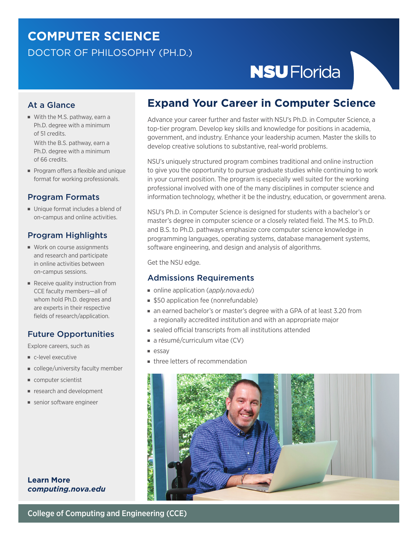# **COMPUTER SCIENCE** DOCTOR OF PHILOSOPHY (PH.D.)

# **NSU** Florida

# At a Glance

■ With the M.S. pathway, earn a Ph.D. degree with a minimum of 51 credits.

With the B.S. pathway, earn a Ph.D. degree with a minimum of 66 credits.

■ Program offers a flexible and unique format for working professionals.

### Program Formats

■ Unique format includes a blend of on-campus and online activities.

# Program Highlights

- Work on course assignments and research and participate in online activities between on-campus sessions.
- Receive quality instruction from CCE faculty members—all of whom hold Ph.D. degrees and are experts in their respective fields of research/application.

# Future Opportunities

Explore careers, such as

- c-level executive
- college/university faculty member
- computer scientist
- research and development
- senior software engineer

### **Learn More** *computin[g.nova.edu](https://computing.nova.edu/)*

# **Expand Your Career in Computer Science**

Advance your career further and faster with NSU's Ph.D. in Computer Science, a top-tier program. Develop key skills and knowledge for positions in academia, government, and industry. Enhance your leadership acumen. Master the skills to develop creative solutions to substantive, real-world problems.

NSU's uniquely structured program combines traditional and online instruction to give you the opportunity to pursue graduate studies while continuing to work in your current position. The program is especially well suited for the working professional involved with one of the many disciplines in computer science and information technology, whether it be the industry, education, or government arena.

NSU's Ph.D. in Computer Science is designed for students with a bachelor's or master's degree in computer science or a closely related field. The M.S. to Ph.D. and B.S. to Ph.D. pathways emphasize core computer science knowledge in programming languages, operating systems, database management systems, software engineering, and design and analysis of algorithms.

Get the NSU edge.

### Admissions Requirements

- online application (*[apply.nova.edu](https://nova.elluciancrmrecruit.com/Apply/Account/Login?ReturnUrl=%2fApply)*)
- \$50 application fee (nonrefundable)
- an earned bachelor's or master's degree with a GPA of at least 3.20 from a regionally accredited institution and with an appropriate major
- sealed official transcripts from all institutions attended
- a résumé/curriculum vitae (CV)
- essay
- three letters of recommendation